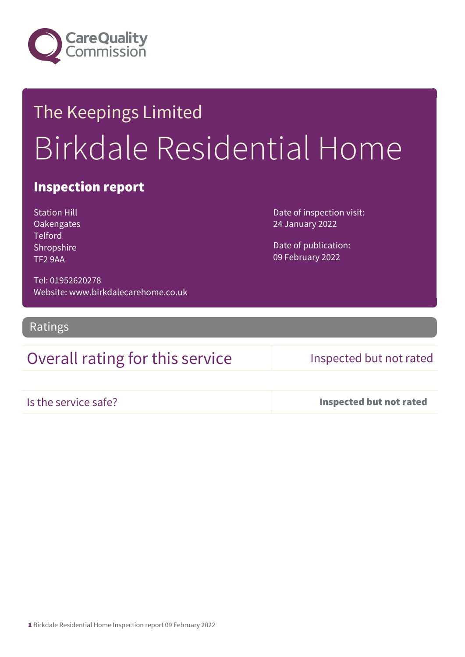

# The Keepings Limited Birkdale Residential Home

## Inspection report

Station Hill **Oakengates Telford** Shropshire TF2 9AA

Date of inspection visit: 24 January 2022

Date of publication: 09 February 2022

Tel: 01952620278 Website: www.birkdalecarehome.co.uk

Ratings

## Overall rating for this service Inspected but not rated

Is the service safe? Inspected but not rated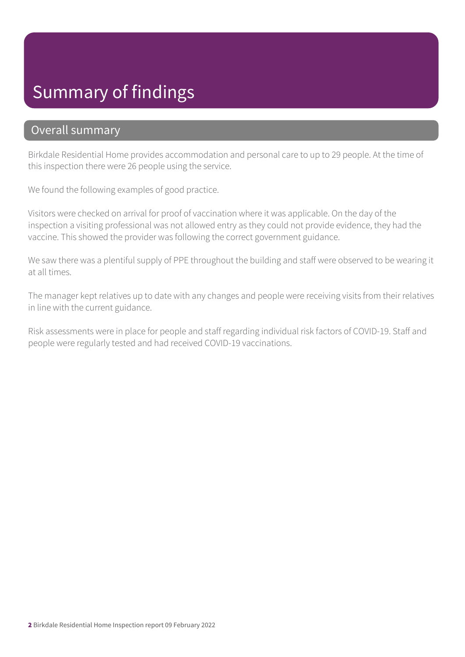# Summary of findings

### Overall summary

Birkdale Residential Home provides accommodation and personal care to up to 29 people. At the time of this inspection there were 26 people using the service.

We found the following examples of good practice.

Visitors were checked on arrival for proof of vaccination where it was applicable. On the day of the inspection a visiting professional was not allowed entry as they could not provide evidence, they had the vaccine. This showed the provider was following the correct government guidance.

We saw there was a plentiful supply of PPE throughout the building and staff were observed to be wearing it at all times.

The manager kept relatives up to date with any changes and people were receiving visits from their relatives in line with the current guidance.

Risk assessments were in place for people and staff regarding individual risk factors of COVID-19. Staff and people were regularly tested and had received COVID-19 vaccinations.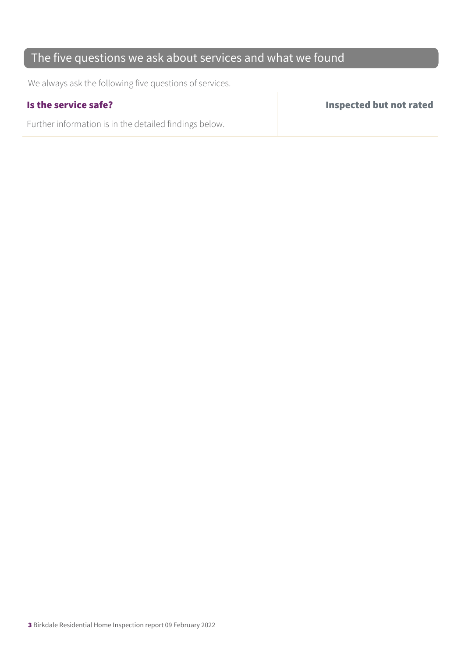## The five questions we ask about services and what we found

We always ask the following five questions of services.

Further information is in the detailed findings below.

Is the service safe? Inspected but not rated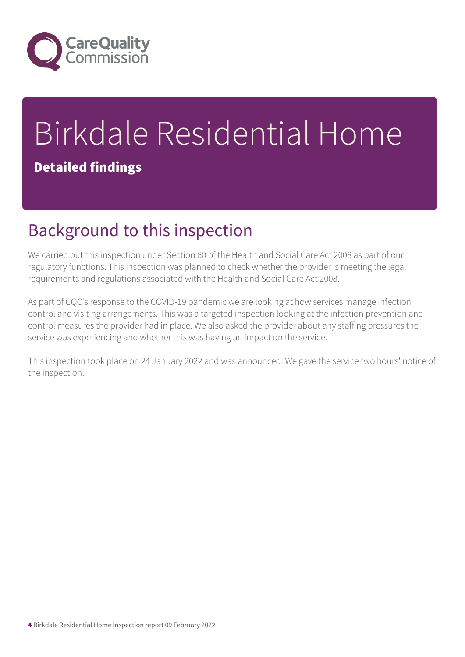

# Birkdale Residential Home

## Detailed findings

# Background to this inspection

We carried out this inspection under Section 60 of the Health and Social Care Act 2008 as part of our regulatory functions. This inspection was planned to check whether the provider is meeting the legal requirements and regulations associated with the Health and Social Care Act 2008.

As part of CQC's response to the COVID-19 pandemic we are looking at how services manage infection control and visiting arrangements. This was a targeted inspection looking at the infection prevention and control measures the provider had in place. We also asked the provider about any staffing pressures the service was experiencing and whether this was having an impact on the service.

This inspection took place on 24 January 2022 and was announced. We gave the service two hours' notice of the inspection.